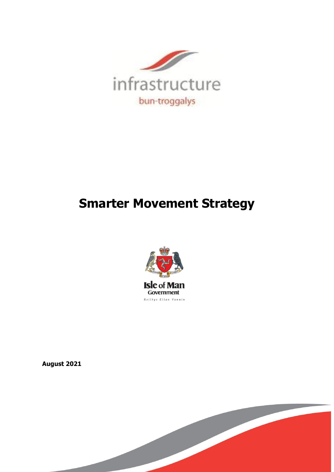

# **Smarter Movement Strategy**



**August 2021**

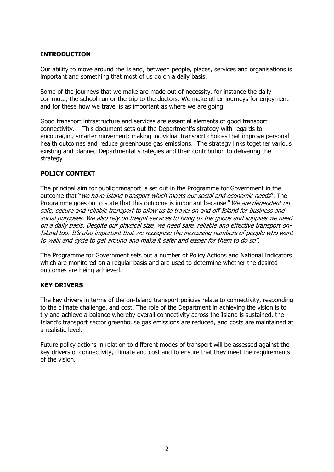# **INTRODUCTION**

Our ability to move around the Island, between people, places, services and organisations is important and something that most of us do on a daily basis.

Some of the journeys that we make are made out of necessity, for instance the daily commute, the school run or the trip to the doctors. We make other journeys for enjoyment and for these how we travel is as important as where we are going.

Good transport infrastructure and services are essential elements of good transport connectivity. This document sets out the Department's strategy with regards to encouraging smarter movement; making individual transport choices that improve personal health outcomes and reduce greenhouse gas emissions. The strategy links together various existing and planned Departmental strategies and their contribution to delivering the strategy.

# **POLICY CONTEXT**

The principal aim for public transport is set out in the Programme for Government in the outcome that "we have Island transport which meets our social and economic needs". The Programme goes on to state that this outcome is important because "We are dependent on safe, secure and reliable transport to allow us to travel on and off Island for business and social purposes. We also rely on freight services to bring us the goods and supplies we need on a daily basis. Despite our physical size, we need safe, reliable and effective transport on-Island too. It's also important that we recognise the increasing numbers of people who want to walk and cycle to get around and make it safer and easier for them to do so".

The Programme for Government sets out a number of Policy Actions and National Indicators which are monitored on a regular basis and are used to determine whether the desired outcomes are being achieved.

# **KEY DRIVERS**

The key drivers in terms of the on-Island transport policies relate to connectivity, responding to the climate challenge, and cost. The role of the Department in achieving the vision is to try and achieve a balance whereby overall connectivity across the Island is sustained, the Island's transport sector greenhouse gas emissions are reduced, and costs are maintained at a realistic level.

Future policy actions in relation to different modes of transport will be assessed against the key drivers of connectivity, climate and cost and to ensure that they meet the requirements of the vision.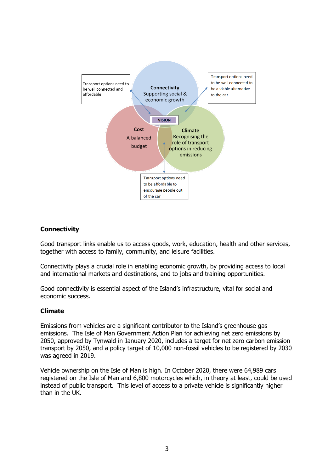

# **Connectivity**

Good transport links enable us to access goods, work, education, health and other services, together with access to family, community, and leisure facilities.

Connectivity plays a crucial role in enabling economic growth, by providing access to local and international markets and destinations, and to jobs and training opportunities.

Good connectivity is essential aspect of the Island's infrastructure, vital for social and economic success.

#### **Climate**

Emissions from vehicles are a significant contributor to the Island's greenhouse gas emissions. The Isle of Man Government Action Plan for achieving net zero emissions by 2050, approved by Tynwald in January 2020, includes a target for net zero carbon emission transport by 2050, and a policy target of 10,000 non-fossil vehicles to be registered by 2030 was agreed in 2019.

Vehicle ownership on the Isle of Man is high. In October 2020, there were 64,989 cars registered on the Isle of Man and 6,800 motorcycles which, in theory at least, could be used instead of public transport. This level of access to a private vehicle is significantly higher than in the UK.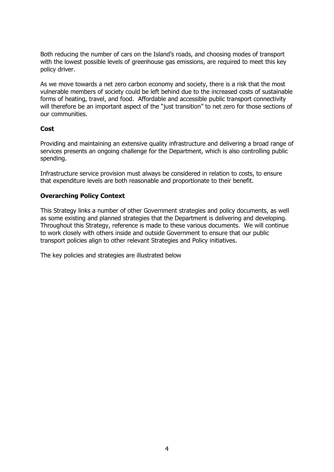Both reducing the number of cars on the Island's roads, and choosing modes of transport with the lowest possible levels of greenhouse gas emissions, are required to meet this key policy driver.

As we move towards a net zero carbon economy and society, there is a risk that the most vulnerable members of society could be left behind due to the increased costs of sustainable forms of heating, travel, and food. Affordable and accessible public transport connectivity will therefore be an important aspect of the "just transition" to net zero for those sections of our communities.

#### **Cost**

Providing and maintaining an extensive quality infrastructure and delivering a broad range of services presents an ongoing challenge for the Department, which is also controlling public spending.

Infrastructure service provision must always be considered in relation to costs, to ensure that expenditure levels are both reasonable and proportionate to their benefit.

# **Overarching Policy Context**

This Strategy links a number of other Government strategies and policy documents, as well as some existing and planned strategies that the Department is delivering and developing. Throughout this Strategy, reference is made to these various documents. We will continue to work closely with others inside and outside Government to ensure that our public transport policies align to other relevant Strategies and Policy initiatives.

The key policies and strategies are illustrated below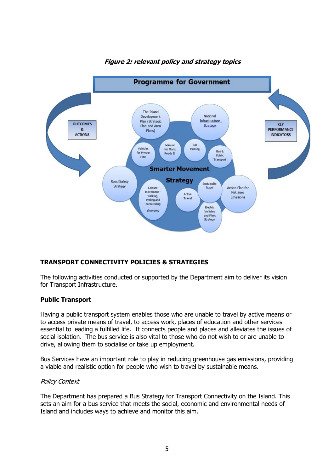

# **Figure 2: relevant policy and strategy topics**

# **TRANSPORT CONNECTIVITY POLICIES & STRATEGIES**

The following activities conducted or supported by the Department aim to deliver its vision for Transport Infrastructure.

# **Public Transport**

Having a public transport system enables those who are unable to travel by active means or to access private means of travel, to access work, places of education and other services essential to leading a fulfilled life. It connects people and places and alleviates the issues of social isolation. The bus service is also vital to those who do not wish to or are unable to drive, allowing them to socialise or take up employment.

Bus Services have an important role to play in reducing greenhouse gas emissions, providing a viable and realistic option for people who wish to travel by sustainable means.

#### Policy Context

The Department has prepared a Bus Strategy for Transport Connectivity on the Island. This sets an aim for a bus service that meets the social, economic and environmental needs of Island and includes ways to achieve and monitor this aim.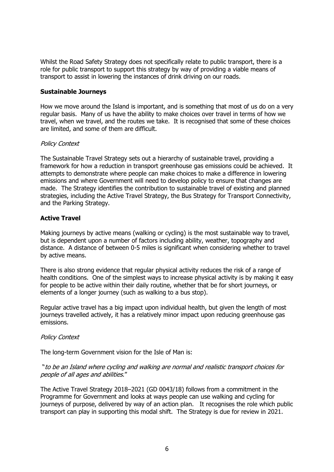Whilst the Road Safety Strategy does not specifically relate to public transport, there is a role for public transport to support this strategy by way of providing a viable means of transport to assist in lowering the instances of drink driving on our roads.

#### **Sustainable Journeys**

How we move around the Island is important, and is something that most of us do on a very regular basis. Many of us have the ability to make choices over travel in terms of how we travel, when we travel, and the routes we take. It is recognised that some of these choices are limited, and some of them are difficult.

#### Policy Context

The Sustainable Travel Strategy sets out a hierarchy of sustainable travel, providing a framework for how a reduction in transport greenhouse gas emissions could be achieved. It attempts to demonstrate where people can make choices to make a difference in lowering emissions and where Government will need to develop policy to ensure that changes are made. The Strategy identifies the contribution to sustainable travel of existing and planned strategies, including the Active Travel Strategy, the Bus Strategy for Transport Connectivity, and the Parking Strategy.

# **Active Travel**

Making journeys by active means (walking or cycling) is the most sustainable way to travel, but is dependent upon a number of factors including ability, weather, topography and distance. A distance of between 0-5 miles is significant when considering whether to travel by active means.

There is also strong evidence that regular physical activity reduces the risk of a range of health conditions. One of the simplest ways to increase physical activity is by making it easy for people to be active within their daily routine, whether that be for short journeys, or elements of a longer journey (such as walking to a bus stop).

Regular active travel has a big impact upon individual health, but given the length of most journeys travelled actively, it has a relatively minor impact upon reducing greenhouse gas emissions.

#### Policy Context

The long-term Government vision for the Isle of Man is:

#### "to be an Island where cycling and walking are normal and realistic transport choices for people of all ages and abilities."

The Active Travel Strategy 2018–2021 (GD 0043/18) follows from a commitment in the Programme for Government and looks at ways people can use walking and cycling for journeys of purpose, delivered by way of an action plan. It recognises the role which public transport can play in supporting this modal shift. The Strategy is due for review in 2021.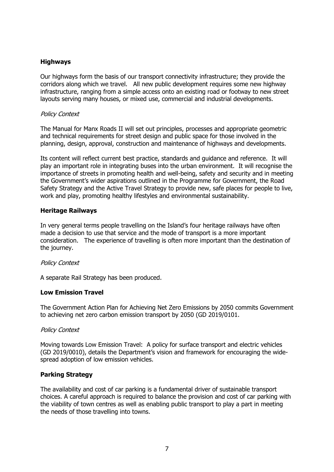# **Highways**

Our highways form the basis of our transport connectivity infrastructure; they provide the corridors along which we travel. All new public development requires some new highway infrastructure, ranging from a simple access onto an existing road or footway to new street layouts serving many houses, or mixed use, commercial and industrial developments.

## Policy Context

The Manual for Manx Roads II will set out principles, processes and appropriate geometric and technical requirements for street design and public space for those involved in the planning, design, approval, construction and maintenance of highways and developments.

Its content will reflect current best practice, standards and guidance and reference. It will play an important role in integrating buses into the urban environment. It will recognise the importance of streets in promoting health and well-being, safety and security and in meeting the Government's wider aspirations outlined in the Programme for Government, the Road Safety Strategy and the Active Travel Strategy to provide new, safe places for people to live, work and play, promoting healthy lifestyles and environmental sustainability.

#### **Heritage Railways**

In very general terms people travelling on the Island's four heritage railways have often made a decision to use that service and the mode of transport is a more important consideration. The experience of travelling is often more important than the destination of the journey.

#### Policy Context

A separate Rail Strategy has been produced.

#### **Low Emission Travel**

The Government Action Plan for Achieving Net Zero Emissions by 2050 commits Government to achieving net zero carbon emission transport by 2050 (GD 2019/0101.

#### Policy Context

Moving towards Low Emission Travel: A policy for surface transport and electric vehicles (GD 2019/0010), details the Department's vision and framework for encouraging the widespread adoption of low emission vehicles.

# **Parking Strategy**

The availability and cost of car parking is a fundamental driver of sustainable transport choices. A careful approach is required to balance the provision and cost of car parking with the viability of town centres as well as enabling public transport to play a part in meeting the needs of those travelling into towns.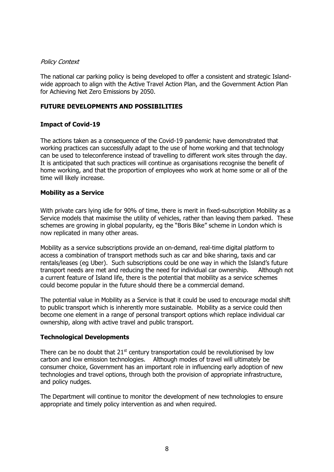#### Policy Context

The national car parking policy is being developed to offer a consistent and strategic Islandwide approach to align with the Active Travel Action Plan, and the Government Action Plan for Achieving Net Zero Emissions by 2050.

# **FUTURE DEVELOPMENTS AND POSSIBILITIES**

# **Impact of Covid-19**

The actions taken as a consequence of the Covid-19 pandemic have demonstrated that working practices can successfully adapt to the use of home working and that technology can be used to teleconference instead of travelling to different work sites through the day. It is anticipated that such practices will continue as organisations recognise the benefit of home working, and that the proportion of employees who work at home some or all of the time will likely increase.

#### **Mobility as a Service**

With private cars lying idle for 90% of time, there is merit in fixed-subscription Mobility as a Service models that maximise the utility of vehicles, rather than leaving them parked. These schemes are growing in global popularity, eg the "Boris Bike" scheme in London which is now replicated in many other areas.

Mobility as a service subscriptions provide an on-demand, real-time digital platform to access a combination of transport methods such as car and bike sharing, taxis and car rentals/leases (eg Uber). Such subscriptions could be one way in which the Island's future transport needs are met and reducing the need for individual car ownership. Although not a current feature of Island life, there is the potential that mobility as a service schemes could become popular in the future should there be a commercial demand.

The potential value in Mobility as a Service is that it could be used to encourage modal shift to public transport which is inherently more sustainable. Mobility as a service could then become one element in a range of personal transport options which replace individual car ownership, along with active travel and public transport.

# **Technological Developments**

There can be no doubt that  $21<sup>st</sup>$  century transportation could be revolutionised by low carbon and low emission technologies. Although modes of travel will ultimately be consumer choice, Government has an important role in influencing early adoption of new technologies and travel options, through both the provision of appropriate infrastructure, and policy nudges.

The Department will continue to monitor the development of new technologies to ensure appropriate and timely policy intervention as and when required.